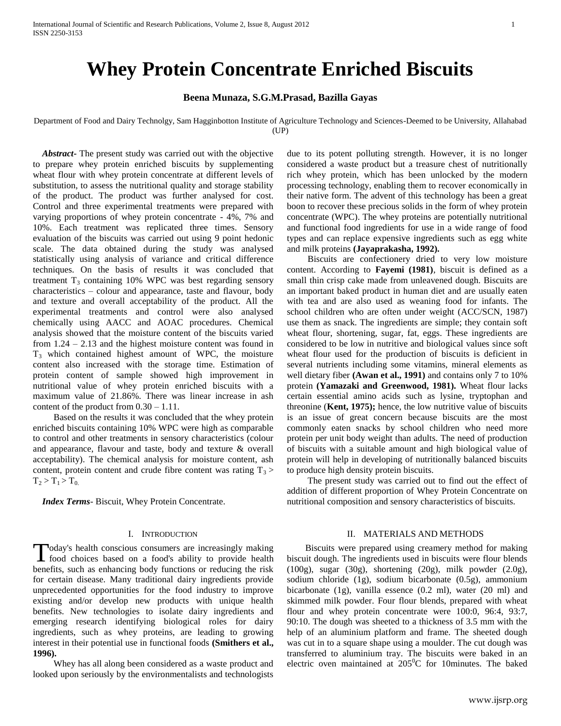# **Whey Protein Concentrate Enriched Biscuits**

## **Beena Munaza, S.G.M.Prasad, Bazilla Gayas**

Department of Food and Dairy Technolgy, Sam Hagginbotton Institute of Agriculture Technology and Sciences-Deemed to be University, Allahabad (UP)

 *Abstract***-** The present study was carried out with the objective to prepare whey protein enriched biscuits by supplementing wheat flour with whey protein concentrate at different levels of substitution, to assess the nutritional quality and storage stability of the product. The product was further analysed for cost. Control and three experimental treatments were prepared with varying proportions of whey protein concentrate - 4%, 7% and 10%. Each treatment was replicated three times. Sensory evaluation of the biscuits was carried out using 9 point hedonic scale. The data obtained during the study was analysed statistically using analysis of variance and critical difference techniques. On the basis of results it was concluded that treatment  $T_3$  containing 10% WPC was best regarding sensory characteristics – colour and appearance, taste and flavour, body and texture and overall acceptability of the product. All the experimental treatments and control were also analysed chemically using AACC and AOAC procedures. Chemical analysis showed that the moisture content of the biscuits varied from 1.24 – 2.13 and the highest moisture content was found in  $T<sub>3</sub>$  which contained highest amount of WPC, the moisture content also increased with the storage time. Estimation of protein content of sample showed high improvement in nutritional value of whey protein enriched biscuits with a maximum value of 21.86%. There was linear increase in ash content of the product from 0.30 – 1.11.

 Based on the results it was concluded that the whey protein enriched biscuits containing 10% WPC were high as comparable to control and other treatments in sensory characteristics (colour and appearance, flavour and taste, body and texture & overall acceptability). The chemical analysis for moisture content, ash content, protein content and crude fibre content was rating  $T_3$  >  $T_2 > T_1 > T_0$ .

 *Index Terms*- Biscuit, Whey Protein Concentrate.

## I. INTRODUCTION

oday's health conscious consumers are increasingly making food choices based on a food's ability to provide health Today's health conscious consumers are increasingly making<br>food choices based on a food's ability to provide health<br>benefits, such as enhancing body functions or reducing the risk for certain disease. Many traditional dairy ingredients provide unprecedented opportunities for the food industry to improve existing and/or develop new products with unique health benefits. New technologies to isolate dairy ingredients and emerging research identifying biological roles for dairy ingredients, such as whey proteins, are leading to growing interest in their potential use in functional foods **(Smithers et al., 1996).**

 Whey has all along been considered as a waste product and looked upon seriously by the environmentalists and technologists due to its potent polluting strength. However, it is no longer considered a waste product but a treasure chest of nutritionally rich whey protein, which has been unlocked by the modern processing technology, enabling them to recover economically in their native form. The advent of this technology has been a great boon to recover these precious solids in the form of whey protein concentrate (WPC). The whey proteins are potentially nutritional and functional food ingredients for use in a wide range of food types and can replace expensive ingredients such as egg white and milk proteins **(Jayaprakasha, 1992).**

 Biscuits are confectionery dried to very low moisture content. According to **Fayemi (1981)**, biscuit is defined as a small thin crisp cake made from unleavened dough. Biscuits are an important baked product in human diet and are usually eaten with tea and are also used as weaning food for infants. The school children who are often under weight (ACC/SCN, 1987) use them as snack. The ingredients are simple; they contain soft wheat flour, shortening, sugar, fat, eggs. These ingredients are considered to be low in nutritive and biological values since soft wheat flour used for the production of biscuits is deficient in several nutrients including some vitamins, mineral elements as well dietary fiber **(Awan et al., 1991)** and contains only 7 to 10% protein **(Yamazaki and Greenwood, 1981).** Wheat flour lacks certain essential amino acids such as lysine, tryptophan and threonine (**Kent, 1975);** hence, the low nutritive value of biscuits is an issue of great concern because biscuits are the most commonly eaten snacks by school children who need more protein per unit body weight than adults. The need of production of biscuits with a suitable amount and high biological value of protein will help in developing of nutritionally balanced biscuits to produce high density protein biscuits.

 The present study was carried out to find out the effect of addition of different proportion of Whey Protein Concentrate on nutritional composition and sensory characteristics of biscuits.

## II. MATERIALS AND METHODS

 Biscuits were prepared using creamery method for making biscuit dough. The ingredients used in biscuits were flour blends (100g), sugar (30g), shortening (20g), milk powder (2.0g), sodium chloride (1g), sodium bicarbonate (0.5g), ammonium bicarbonate (1g), vanilla essence (0.2 ml), water (20 ml) and skimmed milk powder. Four flour blends, prepared with wheat flour and whey protein concentrate were 100:0, 96:4, 93:7, 90:10. The dough was sheeted to a thickness of 3.5 mm with the help of an aluminium platform and frame. The sheeted dough was cut in to a square shape using a moulder. The cut dough was transferred to aluminium tray. The biscuits were baked in an electric oven maintained at  $205^{\circ}$ C for 10minutes. The baked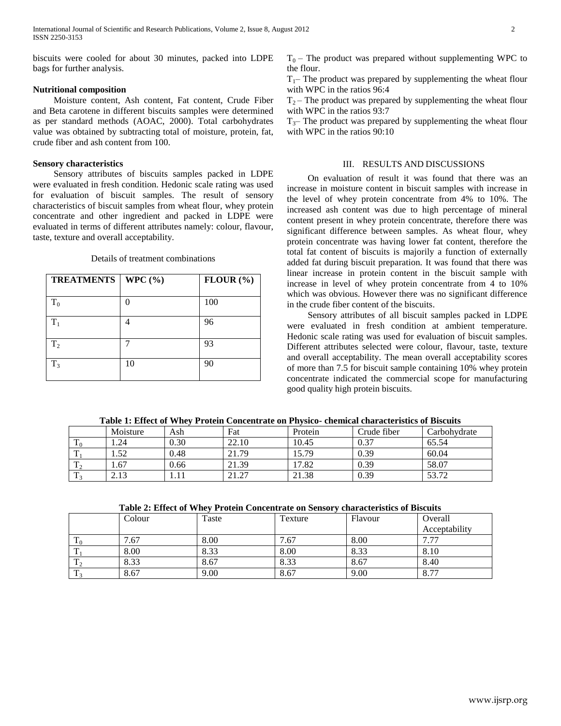biscuits were cooled for about 30 minutes, packed into LDPE bags for further analysis.

## **Nutritional composition**

 Moisture content, Ash content, Fat content, Crude Fiber and Beta carotene in different biscuits samples were determined as per standard methods (AOAC, 2000). Total carbohydrates value was obtained by subtracting total of moisture, protein, fat, crude fiber and ash content from 100.

### **Sensory characteristics**

 Sensory attributes of biscuits samples packed in LDPE were evaluated in fresh condition. Hedonic scale rating was used for evaluation of biscuit samples. The result of sensory characteristics of biscuit samples from wheat flour, whey protein concentrate and other ingredient and packed in LDPE were evaluated in terms of different attributes namely: colour, flavour, taste, texture and overall acceptability.

#### Details of treatment combinations

| <b>TREATMENTS</b> | WPC $(\% )$ | $FLOUR$ $(%)$ |  |
|-------------------|-------------|---------------|--|
|                   |             |               |  |
| $T_0$             |             | 100           |  |
| $T_1$             |             | 96            |  |
| T <sub>2</sub>    |             | 93            |  |
| $T_3$             | 10          | 90            |  |

 $T_1$ – The product was prepared by supplementing the wheat flour with WPC in the ratios 96:4

 $T_2$  – The product was prepared by supplementing the wheat flour with WPC in the ratios 93:7

 $T<sub>3</sub>$ – The product was prepared by supplementing the wheat flour with WPC in the ratios 90:10

#### III. RESULTS AND DISCUSSIONS

 On evaluation of result it was found that there was an increase in moisture content in biscuit samples with increase in the level of whey protein concentrate from 4% to 10%. The increased ash content was due to high percentage of mineral content present in whey protein concentrate, therefore there was significant difference between samples. As wheat flour, whey protein concentrate was having lower fat content, therefore the total fat content of biscuits is majorily a function of externally added fat during biscuit preparation. It was found that there was linear increase in protein content in the biscuit sample with increase in level of whey protein concentrate from 4 to 10% which was obvious. However there was no significant difference in the crude fiber content of the biscuits.

 Sensory attributes of all biscuit samples packed in LDPE were evaluated in fresh condition at ambient temperature. Hedonic scale rating was used for evaluation of biscuit samples. Different attributes selected were colour, flavour, taste, texture and overall acceptability. The mean overall acceptability scores of more than 7.5 for biscuit sample containing 10% whey protein concentrate indicated the commercial scope for manufacturing good quality high protein biscuits.

| Table 1. Effect of Whey I Folcht Concentrate on I hysico- chemical enaracteristics of Discutts |          |      |       |         |             |              |  |  |
|------------------------------------------------------------------------------------------------|----------|------|-------|---------|-------------|--------------|--|--|
|                                                                                                | Moisture | Ash  | Fat   | Protein | Crude fiber | Carbohydrate |  |  |
|                                                                                                | .24      | 0.30 | 22.10 | 10.45   | 0.37        | 65.54        |  |  |
| m                                                                                              | l.52     | 0.48 | 21.79 | 15.79   | 0.39        | 60.04        |  |  |
| m                                                                                              | 67       | 0.66 | 21.39 | 7.82    | 0.39        | 58.07        |  |  |
|                                                                                                | 2.13     |      | 21.27 | 21.38   | 0.39        | 53.72        |  |  |

**Table 1: Effect of Whey Protein Concentrate on Physico- chemical characteristics of Biscuits**

**Table 2: Effect of Whey Protein Concentrate on Sensory characteristics of Biscuits**

|                       | Colour | Taste | Texture | Flavour | Overall       |
|-----------------------|--------|-------|---------|---------|---------------|
|                       |        |       |         |         | Acceptability |
| $\mathbf{1}^{\prime}$ | 7.67   | 8.00  | 7.67    | 8.00    | .77<br>–      |
|                       | 8.00   | 8.33  | 8.00    | 8.33    | 8.10          |
|                       | 8.33   | 8.67  | 8.33    | 8.67    | 8.40          |
|                       | 8.67   | 9.00  | 8.67    | 9.00    | 8.77          |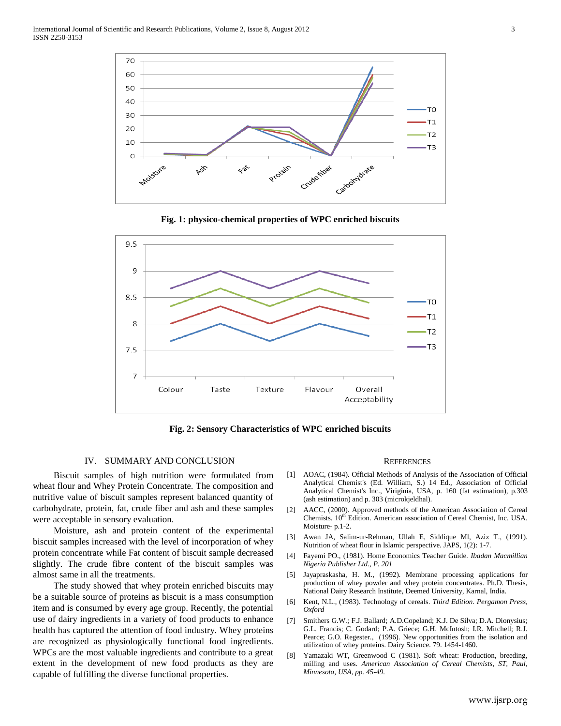





**Fig. 2: Sensory Characteristics of WPC enriched biscuits**

## IV. SUMMARY AND CONCLUSION

 Biscuit samples of high nutrition were formulated from wheat flour and Whey Protein Concentrate. The composition and nutritive value of biscuit samples represent balanced quantity of carbohydrate, protein, fat, crude fiber and ash and these samples were acceptable in sensory evaluation.

 Moisture, ash and protein content of the experimental biscuit samples increased with the level of incorporation of whey protein concentrate while Fat content of biscuit sample decreased slightly. The crude fibre content of the biscuit samples was almost same in all the treatments.

 The study showed that whey protein enriched biscuits may be a suitable source of proteins as biscuit is a mass consumption item and is consumed by every age group. Recently, the potential use of dairy ingredients in a variety of food products to enhance health has captured the attention of food industry. Whey proteins are recognized as physiologically functional food ingredients. WPCs are the most valuable ingredients and contribute to a great extent in the development of new food products as they are capable of fulfilling the diverse functional properties.

#### **REFERENCES**

- [1] AOAC, (1984). Official Methods of Analysis of the Association of Official Analytical Chemist's (Ed. William, S.) 14 Ed., Association of Official Analytical Chemist's Inc., Viriginia, USA, p. 160 (fat estimation), p.303 (ash estimation) and p. 303 (microkjeldhal).
- [2] AACC, (2000). Approved methods of the American Association of Cereal Chemists. 10<sup>th</sup> Edition. American association of Cereal Chemist, Inc. USA. Moisture- p.1-2.
- [3] Awan JA, Salim-ur-Rehman, Ullah E, Siddique Ml, Aziz T., (1991). Nutrition of wheat flour in Islamic perspective. JAPS, 1(2): 1-7.
- [4] Fayemi PO., (1981). Home Economics Teacher Guide. *Ibadan Macmillian Nigeria Publisher Ltd., P. 201*
- [5] Jayapraskasha, H. M., (1992). Membrane processing applications for production of whey powder and whey protein concentrates. Ph.D. Thesis, National Dairy Research Institute, Deemed University, Karnal, India.
- [6] Kent, N.L., (1983). Technology of cereals. *Third Edition. Pergamon Press, Oxford*
- [7] Smithers G.W.; F.J. Ballard; A.D.Copeland; K.J. De Silva; D.A. Dionysius; G.L. Francis; C. Godard; P.A. Griece; G.H. McIntosh; I.R. Mitchell; R.J. Pearce; G.O. Regester., (1996). New opportunities from the isolation and utilization of whey proteins. Dairy Science. 79. 1454-1460.
- [8] Yamazaki WT, Greenwood C (1981). Soft wheat: Production, breeding, milling and uses. *American Association of Cereal Chemists, ST, Paul, Minnesota, USA, pp. 45-49.*